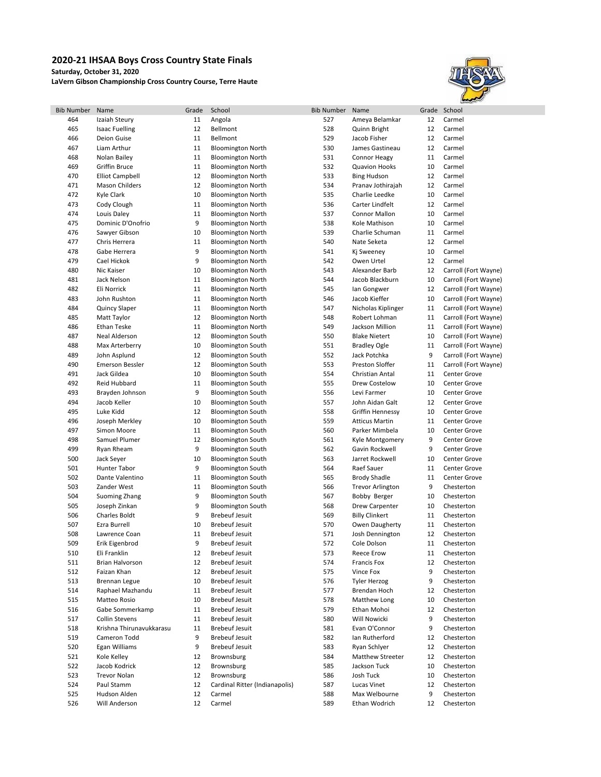## **2020-21 IHSAA Boys Cross Country State Finals**

**Saturday, October 31, 2020**

**LaVern Gibson Championship Cross Country Course, Terre Haute**



| <b>Bib Number</b> | Name                     | Grade | School                         | <b>Bib Number</b> | Name                    | Grade | School               |
|-------------------|--------------------------|-------|--------------------------------|-------------------|-------------------------|-------|----------------------|
| 464               | Izaiah Steury            | 11    | Angola                         | 527               | Ameya Belamkar          | 12    | Carmel               |
| 465               | <b>Isaac Fuelling</b>    | 12    | <b>Bellmont</b>                | 528               | Quinn Bright            | 12    | Carmel               |
| 466               | Deion Guise              | 11    | Bellmont                       | 529               | Jacob Fisher            | 12    | Carmel               |
| 467               | Liam Arthur              | 11    | <b>Bloomington North</b>       | 530               | James Gastineau         | 12    | Carmel               |
| 468               | Nolan Bailey             | 11    | <b>Bloomington North</b>       | 531               |                         | 11    | Carmel               |
|                   |                          |       |                                |                   | <b>Connor Heagy</b>     |       |                      |
| 469               | <b>Griffin Bruce</b>     | 11    | <b>Bloomington North</b>       | 532               | <b>Quavion Hooks</b>    | 10    | Carmel               |
| 470               | <b>Elliot Campbell</b>   | 12    | <b>Bloomington North</b>       | 533               | <b>Bing Hudson</b>      | 12    | Carmel               |
| 471               | <b>Mason Childers</b>    | 12    | <b>Bloomington North</b>       | 534               | Pranav Jothirajah       | 12    | Carmel               |
| 472               | Kyle Clark               | 10    | <b>Bloomington North</b>       | 535               | Charlie Leedke          | 10    | Carmel               |
| 473               | Cody Clough              | 11    | <b>Bloomington North</b>       | 536               | Carter Lindfelt         | 12    | Carmel               |
| 474               | Louis Daley              | 11    | <b>Bloomington North</b>       | 537               | <b>Connor Mallon</b>    | 10    | Carmel               |
| 475               | Dominic D'Onofrio        | 9     | <b>Bloomington North</b>       | 538               | Kole Mathison           | 10    | Carmel               |
| 476               | Sawyer Gibson            | 10    | <b>Bloomington North</b>       | 539               | Charlie Schuman         | 11    | Carmel               |
|                   |                          |       |                                |                   |                         |       |                      |
| 477               | Chris Herrera            | 11    | <b>Bloomington North</b>       | 540               | Nate Seketa             | 12    | Carmel               |
| 478               | Gabe Herrera             | 9     | <b>Bloomington North</b>       | 541               | Kj Sweeney              | 10    | Carmel               |
| 479               | Cael Hickok              | 9     | <b>Bloomington North</b>       | 542               | Owen Urtel              | 12    | Carmel               |
| 480               | Nic Kaiser               | 10    | <b>Bloomington North</b>       | 543               | Alexander Barb          | 12    | Carroll (Fort Wayne) |
| 481               | Jack Nelson              | 11    | <b>Bloomington North</b>       | 544               | Jacob Blackburn         | 10    | Carroll (Fort Wayne) |
| 482               | Eli Norrick              | 11    | <b>Bloomington North</b>       | 545               | lan Gongwer             | 12    | Carroll (Fort Wayne) |
| 483               | John Rushton             | 11    | <b>Bloomington North</b>       | 546               | Jacob Kieffer           | 10    | Carroll (Fort Wayne) |
| 484               | <b>Quincy Slaper</b>     | 11    | <b>Bloomington North</b>       | 547               | Nicholas Kiplinger      | 11    | Carroll (Fort Wayne) |
|                   |                          |       |                                |                   |                         |       |                      |
| 485               | Matt Taylor              | 12    | <b>Bloomington North</b>       | 548               | Robert Lohman           | 11    | Carroll (Fort Wayne) |
| 486               | Ethan Teske              | 11    | <b>Bloomington North</b>       | 549               | Jackson Million         | 11    | Carroll (Fort Wayne) |
| 487               | Neal Alderson            | 12    | <b>Bloomington South</b>       | 550               | <b>Blake Nietert</b>    | 10    | Carroll (Fort Wayne) |
| 488               | Max Arterberry           | 10    | <b>Bloomington South</b>       | 551               | <b>Bradley Ogle</b>     | 11    | Carroll (Fort Wayne) |
| 489               | John Asplund             | 12    | <b>Bloomington South</b>       | 552               | Jack Potchka            | 9     | Carroll (Fort Wayne) |
| 490               | <b>Emerson Bessler</b>   | 12    | <b>Bloomington South</b>       | 553               | <b>Preston Sloffer</b>  | 11    | Carroll (Fort Wayne) |
| 491               | Jack Gildea              | 10    | <b>Bloomington South</b>       | 554               | <b>Christian Antal</b>  | 11    | Center Grove         |
| 492               | Reid Hubbard             | 11    | <b>Bloomington South</b>       | 555               | Drew Costelow           | 10    | Center Grove         |
| 493               |                          | 9     |                                |                   |                         |       |                      |
|                   | Brayden Johnson          |       | <b>Bloomington South</b>       | 556               | Levi Farmer             | 10    | Center Grove         |
| 494               | Jacob Keller             | 10    | <b>Bloomington South</b>       | 557               | John Aidan Galt         | 12    | Center Grove         |
| 495               | Luke Kidd                | 12    | <b>Bloomington South</b>       | 558               | <b>Griffin Hennessy</b> | 10    | Center Grove         |
| 496               | Joseph Merkley           | 10    | <b>Bloomington South</b>       | 559               | <b>Atticus Martin</b>   | 11    | Center Grove         |
| 497               | Simon Moore              | 11    | <b>Bloomington South</b>       | 560               | Parker Mimbela          | 10    | Center Grove         |
| 498               | Samuel Plumer            | 12    | <b>Bloomington South</b>       | 561               | Kyle Montgomery         | 9     | Center Grove         |
| 499               | Ryan Rheam               | 9     | <b>Bloomington South</b>       | 562               | Gavin Rockwell          | 9     | Center Grove         |
| 500               | Jack Seyer               | 10    | <b>Bloomington South</b>       | 563               | Jarret Rockwell         | 10    | Center Grove         |
| 501               | Hunter Tabor             | 9     | <b>Bloomington South</b>       | 564               | Raef Sauer              | 11    | Center Grove         |
|                   |                          |       |                                |                   |                         |       |                      |
| 502               | Dante Valentino          | 11    | <b>Bloomington South</b>       | 565               | <b>Brody Shadle</b>     | 11    | <b>Center Grove</b>  |
| 503               | Zander West              | 11    | <b>Bloomington South</b>       | 566               | <b>Trevor Arlington</b> | 9     | Chesterton           |
| 504               | Suoming Zhang            | 9     | <b>Bloomington South</b>       | 567               | Bobby Berger            | 10    | Chesterton           |
| 505               | Joseph Zinkan            | 9     | <b>Bloomington South</b>       | 568               | <b>Drew Carpenter</b>   | 10    | Chesterton           |
| 506               | Charles Boldt            | 9     | <b>Brebeuf Jesuit</b>          | 569               | <b>Billy Clinkert</b>   | 11    | Chesterton           |
| 507               | Ezra Burrell             | 10    | <b>Brebeuf Jesuit</b>          | 570               | Owen Daugherty          | 11    | Chesterton           |
| 508               | Lawrence Coan            | 11    | <b>Brebeuf Jesuit</b>          | 571               | Josh Dennington         | 12    | Chesterton           |
| 509               | Erik Eigenbrod           | 9     | <b>Brebeuf Jesuit</b>          | 572               | Cole Dolson             | 11    | Chesterton           |
| 510               | Eli Franklin             | 12    | <b>Brebeuf Jesuit</b>          | 573               | <b>Reece Erow</b>       | 11    | Chesterton           |
| 511               | Brian Halvorson          | 12    | <b>Brebeuf Jesuit</b>          | 574               | Francis Fox             | 12    |                      |
|                   |                          |       |                                |                   |                         |       | Chesterton           |
| 512               | Faizan Khan              | 12    | <b>Brebeuf Jesuit</b>          | 575               | Vince Fox               | 9     | Chesterton           |
| 513               | <b>Brennan Legue</b>     | 10    | <b>Brebeuf Jesuit</b>          | 576               | <b>Tyler Herzog</b>     | 9     | Chesterton           |
| 514               | Raphael Mazhandu         | 11    | <b>Brebeuf Jesuit</b>          | 577               | Brendan Hoch            | 12    | Chesterton           |
| 515               | Matteo Rosio             | 10    | <b>Brebeuf Jesuit</b>          | 578               | Matthew Long            | 10    | Chesterton           |
| 516               | Gabe Sommerkamp          | 11    | <b>Brebeuf Jesuit</b>          | 579               | Ethan Mohoi             | 12    | Chesterton           |
| 517               | <b>Collin Stevens</b>    | 11    | <b>Brebeuf Jesuit</b>          | 580               | Will Nowicki            | 9     | Chesterton           |
| 518               | Krishna Thirunavukkarasu | 11    | <b>Brebeuf Jesuit</b>          | 581               | Evan O'Connor           | 9     | Chesterton           |
| 519               | Cameron Todd             | 9     | <b>Brebeuf Jesuit</b>          | 582               | Ian Rutherford          | 12    | Chesterton           |
|                   |                          |       |                                |                   | Ryan Schlyer            |       |                      |
| 520               | Egan Williams            | 9     | <b>Brebeuf Jesuit</b>          | 583               |                         | 12    | Chesterton           |
| 521               | Kole Kelley              | 12    | Brownsburg                     | 584               | Matthew Streeter        | 12    | Chesterton           |
| 522               | Jacob Kodrick            | 12    | Brownsburg                     | 585               | Jackson Tuck            | 10    | Chesterton           |
| 523               | <b>Trevor Nolan</b>      | 12    | Brownsburg                     | 586               | Josh Tuck               | 10    | Chesterton           |
| 524               | Paul Stamm               | 12    | Cardinal Ritter (Indianapolis) | 587               | Lucas Vinet             | 12    | Chesterton           |
| 525               | Hudson Alden             | 12    | Carmel                         | 588               | Max Welbourne           | 9     | Chesterton           |
| 526               | Will Anderson            | 12    | Carmel                         | 589               | Ethan Wodrich           | 12    | Chesterton           |
|                   |                          |       |                                |                   |                         |       |                      |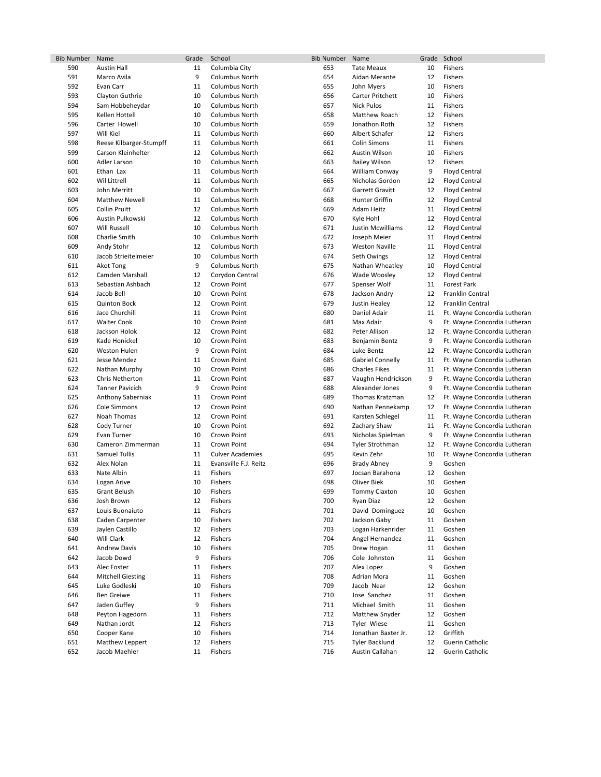| <b>Bib Number</b> | Name                     | Grade  | School                  | <b>Bib Number</b> | Name                    |    | Grade School                 |
|-------------------|--------------------------|--------|-------------------------|-------------------|-------------------------|----|------------------------------|
| 590               | <b>Austin Hall</b>       | 11     | Columbia City           | 653               | <b>Tate Meaux</b>       | 10 | Fishers                      |
| 591               | Marco Avila              | 9      | <b>Columbus North</b>   | 654               | Aidan Merante           | 12 | Fishers                      |
| 592               | Evan Carr                | 11     | <b>Columbus North</b>   | 655               | John Myers              | 10 | Fishers                      |
| 593               | Clayton Guthrie          | 10     | <b>Columbus North</b>   | 656               | Carter Pritchett        | 10 | Fishers                      |
| 594               | Sam Hobbeheydar          | 10     | Columbus North          | 657               | <b>Nick Pulos</b>       | 11 | Fishers                      |
| 595               | Kellen Hottell           | 10     | <b>Columbus North</b>   | 658               | Matthew Roach           | 12 | <b>Fishers</b>               |
| 596               | Carter Howell            | 10     | <b>Columbus North</b>   | 659               | Jonathon Roth           | 12 | Fishers                      |
| 597               | Will Kiel                | 11     | <b>Columbus North</b>   | 660               | Albert Schafer          | 12 | Fishers                      |
| 598               | Reese Kilbarger-Stumpff  | 11     | <b>Columbus North</b>   | 661               | <b>Colin Simons</b>     | 11 | Fishers                      |
| 599               | Carson Kleinhelter       | 12     | Columbus North          | 662               | Austin Wilson           | 10 | Fishers                      |
| 600               | Adler Larson             | 10     | <b>Columbus North</b>   | 663               | <b>Bailey Wilson</b>    | 12 | Fishers                      |
| 601               | Ethan Lax                | 11     | <b>Columbus North</b>   | 664               | William Conway          | 9  | <b>Floyd Central</b>         |
| 602               | Wil Littrell             | 11     | <b>Columbus North</b>   | 665               | Nicholas Gordon         | 12 | <b>Floyd Central</b>         |
| 603               | John Merritt             | 10     | <b>Columbus North</b>   | 667               | Garrett Gravitt         | 12 | <b>Floyd Central</b>         |
| 604               | <b>Matthew Newell</b>    | 11     | Columbus North          | 668               | Hunter Griffin          | 12 | <b>Floyd Central</b>         |
| 605               | <b>Collin Pruitt</b>     | 12     | <b>Columbus North</b>   | 669               | Adam Heitz              | 11 | <b>Floyd Central</b>         |
| 606               | Austin Pulkowski         | 12     | <b>Columbus North</b>   | 670               | Kyle Hohl               | 12 | <b>Floyd Central</b>         |
| 607               | <b>Will Russell</b>      | 10     | <b>Columbus North</b>   | 671               | Justin Mcwilliams       | 12 | <b>Floyd Central</b>         |
| 608               | Charlie Smith            | 10     | <b>Columbus North</b>   | 672               | Joseph Meier            | 11 | <b>Floyd Central</b>         |
| 609               | Andy Stohr               | 12     | Columbus North          | 673               | <b>Weston Naville</b>   | 11 | <b>Floyd Central</b>         |
| 610               | Jacob Strieitelmeier     | 10     | <b>Columbus North</b>   | 674               | Seth Owings             | 12 | <b>Floyd Central</b>         |
| 611               | Akot Tong                | 9      | <b>Columbus North</b>   | 675               | Nathan Wheatley         | 10 | <b>Floyd Central</b>         |
| 612               | <b>Camden Marshall</b>   | 12     | Corydon Central         | 676               | Wade Woosley            | 12 | <b>Floyd Central</b>         |
| 613               | Sebastian Ashbach        | 12     | Crown Point             | 677               | Spenser Wolf            | 11 | Forest Park                  |
| 614               | Jacob Bell               | 10     | Crown Point             | 678               | Jackson Andry           | 12 | Franklin Central             |
| 615               | <b>Quinton Bock</b>      | 12     | Crown Point             | 679               | Justin Healey           | 12 | Franklin Central             |
| 616               | Jace Churchill           | 11     | Crown Point             | 680               | Daniel Adair            | 11 | Ft. Wayne Concordia Lutheran |
| 617               | <b>Walter Cook</b>       | 10     | Crown Point             | 681               | Max Adair               | 9  | Ft. Wayne Concordia Lutheran |
| 618               | Jackson Holok            | 12     | Crown Point             | 682               | Peter Allison           | 12 | Ft. Wayne Concordia Lutheran |
| 619               | Kade Honickel            | 10     | Crown Point             | 683               | Benjamin Bentz          | 9  | Ft. Wayne Concordia Lutheran |
| 620               | <b>Weston Hulen</b>      | 9      | Crown Point             | 684               | Luke Bentz              | 12 | Ft. Wayne Concordia Lutheran |
| 621               | Jesse Mendez             | 11     | Crown Point             | 685               | <b>Gabriel Connelly</b> | 11 | Ft. Wayne Concordia Lutheran |
| 622               | Nathan Murphy            | 10     | Crown Point             | 686               | <b>Charles Fikes</b>    | 11 | Ft. Wayne Concordia Lutheran |
| 623               | Chris Netherton          | 11     | Crown Point             | 687               | Vaughn Hendrickson      | 9  | Ft. Wayne Concordia Lutheran |
| 624               | <b>Tanner Pavicich</b>   | 9      | Crown Point             | 688               | Alexander Jones         | 9  | Ft. Wayne Concordia Lutheran |
| 625               | Anthony Saberniak        | 11     | Crown Point             | 689               | Thomas Kratzman         | 12 | Ft. Wayne Concordia Lutheran |
| 626               | Cole Simmons             | 12     | Crown Point             | 690               | Nathan Pennekamp        | 12 | Ft. Wayne Concordia Lutheran |
| 627               | Noah Thomas              | 12     | Crown Point             | 691               | Karsten Schlegel        | 11 | Ft. Wayne Concordia Lutheran |
| 628               | Cody Turner              | 10     | Crown Point             | 692               | Zachary Shaw            | 11 | Ft. Wayne Concordia Lutheran |
| 629               | Evan Turner              | 10     | Crown Point             | 693               | Nicholas Spielman       | 9  | Ft. Wayne Concordia Lutheran |
| 630               | Cameron Zimmerman        | 11     | Crown Point             | 694               | <b>Tyler Strothman</b>  | 12 | Ft. Wayne Concordia Lutheran |
| 631               | Samuel Tullis            | 11     | <b>Culver Academies</b> | 695               | Kevin Zehr              | 10 | Ft. Wayne Concordia Lutheran |
| 632               | Alex Nolan               | 11     | Evansville F.J. Reitz   | 696               | <b>Brady Abney</b>      | 9  | Goshen                       |
| 633               | Nate Albin               | 11     | Fishers                 | 697               | Jocsan Barahona         | 12 | Goshen                       |
| 634               | Logan Arive              | 10     | <b>Fishers</b>          | 698               | Oliver Biek             | 10 | Goshen                       |
| 635               | Grant Belush             | $10\,$ | Fishers                 | 699               | Tommy Claxton           | 10 | Goshen                       |
| 636               | Josh Brown               | 12     | Fishers                 | 700               | Ryan Diaz               | 12 | Goshen                       |
| 637               | Louis Buonaiuto          | 11     | Fishers                 | 701               | David Dominguez         | 10 | Goshen                       |
| 638               | Caden Carpenter          | 10     | Fishers                 | 702               | Jackson Gaby            | 11 | Goshen                       |
| 639               | Jaylen Castillo          | 12     | Fishers                 | 703               | Logan Harkenrider       | 11 | Goshen                       |
| 640               | Will Clark               | 12     | Fishers                 | 704               | Angel Hernandez         | 11 | Goshen                       |
| 641               | <b>Andrew Davis</b>      | 10     | Fishers                 | 705               | Drew Hogan              | 11 | Goshen                       |
| 642               | Jacob Dowd               | 9      | Fishers                 | 706               | Cole Johnston           | 11 | Goshen                       |
| 643               | Alec Foster              | 11     | Fishers                 | 707               | Alex Lopez              | 9  | Goshen                       |
| 644               | <b>Mitchell Giesting</b> | 11     | Fishers                 | 708               | Adrian Mora             | 11 | Goshen                       |
| 645               | Luke Godleski            | 10     | Fishers                 | 709               | Jacob Near              | 12 | Goshen                       |
| 646               | Ben Greiwe               | 11     | Fishers                 | 710               | Jose Sanchez            | 11 | Goshen                       |
| 647               | Jaden Guffey             | 9      | Fishers                 | 711               | Michael Smith           | 11 | Goshen                       |
| 648               | Peyton Hagedorn          | 11     | Fishers                 | 712               | Matthew Snyder          | 12 | Goshen                       |
| 649               | Nathan Jordt             | 12     | Fishers                 | 713               | Tyler Wiese             | 11 | Goshen                       |
| 650               | Cooper Kane              | 10     | Fishers                 | 714               | Jonathan Baxter Jr.     | 12 | Griffith                     |
| 651               | Matthew Leppert          | 12     | Fishers                 | 715               | <b>Tyler Backlund</b>   | 12 | Guerin Catholic              |
| 652               | Jacob Maehler            | 11     | Fishers                 | 716               | Austin Callahan         | 12 | Guerin Catholic              |
|                   |                          |        |                         |                   |                         |    |                              |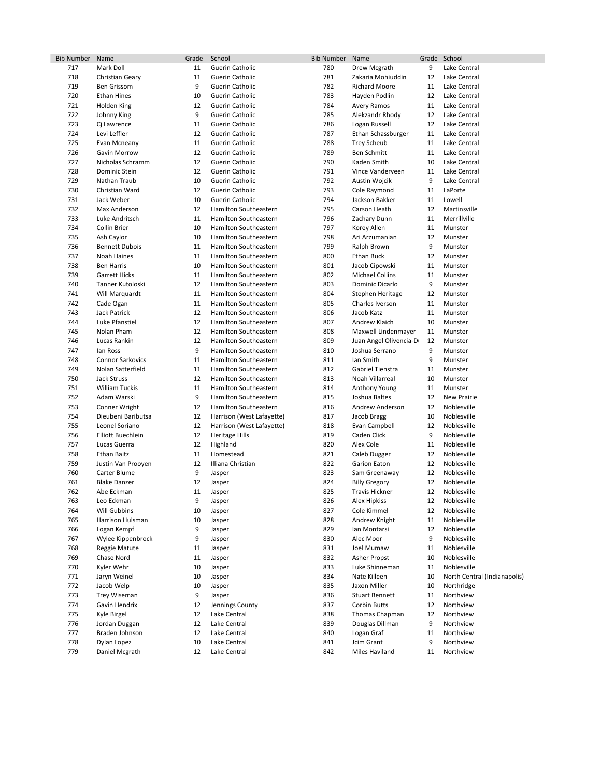| <b>Bib Number</b> | Name                          | Grade    | School                       | <b>Bib Number</b> | Name                         |         | Grade School                 |
|-------------------|-------------------------------|----------|------------------------------|-------------------|------------------------------|---------|------------------------------|
| 717               | Mark Doll                     | 11       | Guerin Catholic              | 780               | Drew Mcgrath                 | 9       | Lake Central                 |
| 718               | Christian Geary               | 11       | Guerin Catholic              | 781               | Zakaria Mohiuddin            | 12      | Lake Central                 |
| 719               | <b>Ben Grissom</b>            | 9        | Guerin Catholic              | 782               | <b>Richard Moore</b>         | 11      | Lake Central                 |
| 720               | <b>Ethan Hines</b>            | 10       | Guerin Catholic              | 783               | Hayden Podlin                | 12      | Lake Central                 |
| 721               | Holden King                   | 12       | <b>Guerin Catholic</b>       | 784               | Avery Ramos                  | 11      | Lake Central                 |
| 722               | Johnny King                   | 9        | <b>Guerin Catholic</b>       | 785               | Alekzandr Rhody              | 12      | Lake Central                 |
| 723               | Cj Lawrence                   | 11       | Guerin Catholic              | 786               | Logan Russell                | 12      | Lake Central                 |
| 724               | Levi Leffler                  | 12       | Guerin Catholic              | 787               | Ethan Schassburger           | 11      | Lake Central                 |
| 725               | Evan Mcneany                  | 11       | Guerin Catholic              | 788               | <b>Trey Scheub</b>           | 11      | Lake Central                 |
| 726               | Gavin Morrow                  | 12       | Guerin Catholic              | 789               | <b>Ben Schmitt</b>           | 11      | Lake Central                 |
| 727               | Nicholas Schramm              | 12       | <b>Guerin Catholic</b>       | 790               | Kaden Smith                  | 10      | Lake Central                 |
| 728               | Dominic Stein                 | 12       | Guerin Catholic              | 791               | Vince Vanderveen             | 11      | Lake Central                 |
| 729               | Nathan Traub                  | 10       | Guerin Catholic              | 792               | Austin Wojcik                | 9       | Lake Central                 |
| 730               | Christian Ward                | 12       | Guerin Catholic              | 793               | Cole Raymond                 | 11      | LaPorte                      |
| 731               | Jack Weber                    | 10       | Guerin Catholic              | 794               | Jackson Bakker               | 11      | Lowell                       |
| 732               | Max Anderson                  | 12       | Hamilton Southeastern        | 795               | Carson Heath                 | 12      | Martinsville                 |
| 733               | Luke Andritsch                | 11       | Hamilton Southeastern        | 796               | Zachary Dunn                 | 11      | Merrillville                 |
| 734               | Collin Brier                  | 10       | Hamilton Southeastern        | 797               | Korey Allen                  | 11      | Munster                      |
| 735               | Ash Caylor                    | 10       | Hamilton Southeastern        | 798               | Ari Arzumanian               | 12      | Munster                      |
| 736               | <b>Bennett Dubois</b>         | 11       | Hamilton Southeastern        | 799               | Ralph Brown                  | 9       | Munster                      |
| 737               | Noah Haines                   | 11       | Hamilton Southeastern        | 800               | <b>Ethan Buck</b>            | 12      | Munster                      |
| 738               | <b>Ben Harris</b>             | 10       | Hamilton Southeastern        | 801               | Jacob Cipowski               | 11      | Munster                      |
| 739               | <b>Garrett Hicks</b>          | 11       | Hamilton Southeastern        | 802               | <b>Michael Collins</b>       | 11      | Munster                      |
| 740               | Tanner Kutoloski              | 12       | Hamilton Southeastern        | 803               | Dominic Dicarlo              | 9       | Munster                      |
| 741               | Will Marquardt                | 11       | Hamilton Southeastern        | 804               | Stephen Heritage             | 12      | Munster                      |
| 742               | Cade Ogan                     | 11       | Hamilton Southeastern        | 805               | Charles Iverson              | 11      | Munster                      |
| 743               | <b>Jack Patrick</b>           | 12       | Hamilton Southeastern        | 806               | Jacob Katz                   | 11      | Munster                      |
| 744               | Luke Pfanstiel                | 12       | Hamilton Southeastern        | 807               | Andrew Klaich                | 10      | Munster                      |
| 745               | Nolan Pham                    | 12       | Hamilton Southeastern        | 808               | Maxwell Lindenmayer          | 11      | Munster                      |
| 746               | Lucas Rankin                  | 12       | Hamilton Southeastern        | 809               | Juan Angel Olivencia-D       | 12      | Munster                      |
| 747               | lan Ross                      | 9        | Hamilton Southeastern        | 810               | Joshua Serrano               | 9       | Munster                      |
| 748               | <b>Connor Sarkovics</b>       | 11       | Hamilton Southeastern        | 811               | Ian Smith                    | 9       | Munster                      |
| 749               | Nolan Satterfield             | 11       | Hamilton Southeastern        | 812               | Gabriel Tienstra             | 11      | Munster                      |
| 750               | <b>Jack Struss</b>            | 12       | Hamilton Southeastern        | 813               | Noah Villarreal              | 10      | Munster                      |
| 751               | <b>William Tuckis</b>         | 11       | Hamilton Southeastern        | 814               | Anthony Young                | 11      | Munster                      |
| 752               | Adam Warski                   | 9        | Hamilton Southeastern        | 815               | Joshua Baltes                | 12      | <b>New Prairie</b>           |
| 753               | Conner Wright                 | 12       | Hamilton Southeastern        | 816               | Andrew Anderson              | 12      | Noblesville                  |
| 754               | Dieubeni Baributsa            | 12       | Harrison (West Lafayette)    | 817               | Jacob Bragg                  | 10      | Noblesville                  |
| 755               | Leonel Soriano                | 12       | Harrison (West Lafayette)    | 818               | Evan Campbell                | 12      | Noblesville                  |
| 756               | Elliott Buechlein             | 12       | <b>Heritage Hills</b>        | 819               | Caden Click                  | 9       | Noblesville                  |
| 757               | Lucas Guerra                  | 12       | Highland                     | 820               | Alex Cole                    | 11      | Noblesville                  |
| 758               | <b>Ethan Baitz</b>            | 11       | Homestead                    | 821               | Caleb Dugger                 | 12      | Noblesville                  |
| 759               | Justin Van Prooyen            | 12       | Illiana Christian            | 822               | Garion Eaton                 | 12      | Noblesville                  |
| 760               | Carter Blume                  | 9        | Jasper                       | 823               | Sam Greenaway                | 12      | Noblesville                  |
| 761               | <b>Blake Danzer</b>           | 12       | Jasper                       | 824               | <b>Billy Gregory</b>         | 12      | Noblesville                  |
| 762               | Abe Eckman                    | 11       | Jasper                       | 825               | Travis Hickner               | 12      | Noblesville                  |
| 763               | Leo Eckman                    | 9        | Jasper                       | 826               | <b>Alex Hipkiss</b>          | 12      | Noblesville                  |
| 764               | Will Gubbins                  | 10       | Jasper                       | 827               | Cole Kimmel                  | 12      | Noblesville                  |
| 765               | Harrison Hulsman              | 10       | Jasper                       | 828               | Andrew Knight                | 11      | Noblesville                  |
| 766               | Logan Kempf                   | 9        | Jasper                       | 829               | Ian Montarsi                 | 12      | Noblesville                  |
| 767               | Wylee Kippenbrock             | 9        | Jasper                       | 830               | Alec Moor                    | 9       | Noblesville                  |
| 768               | Reggie Matute                 | 11       | Jasper                       | 831               | Joel Mumaw                   | 11      | Noblesville                  |
| 769               | Chase Nord                    | 11       | Jasper                       | 832               | Asher Propst                 | 10      | Noblesville                  |
| 770               | Kyler Wehr                    | 10       | Jasper                       | 833               | Luke Shinneman               | 11      | Noblesville                  |
| 771               | Jaryn Weinel                  | 10       | Jasper                       | 834               | Nate Killeen                 | 10      | North Central (Indianapolis) |
| 772               | Jacob Welp                    | 10       | Jasper                       | 835               | Jaxon Miller                 | 10      | Northridge                   |
| 773               | <b>Trey Wiseman</b>           | 9        | Jasper                       | 836               | <b>Stuart Bennett</b>        | 11      | Northview                    |
| 774               | Gavin Hendrix                 | 12       | Jennings County              | 837               | <b>Corbin Butts</b>          | 12      | Northview                    |
| 775               | Kyle Birgel                   | 12       | Lake Central                 | 838               | Thomas Chapman               | 12      | Northview                    |
| 776               | Jordan Duggan                 | 12       | Lake Central                 | 839               | Douglas Dillman              | 9       | Northview                    |
| 777               |                               |          |                              |                   | Logan Graf                   |         |                              |
|                   | Braden Johnson                | 12       | Lake Central                 | 840               |                              | 11      | Northview                    |
| 778<br>779        | Dylan Lopez<br>Daniel Mcgrath | 10<br>12 | Lake Central<br>Lake Central | 841<br>842        | Jcim Grant<br>Miles Haviland | 9<br>11 | Northview<br>Northview       |
|                   |                               |          |                              |                   |                              |         |                              |